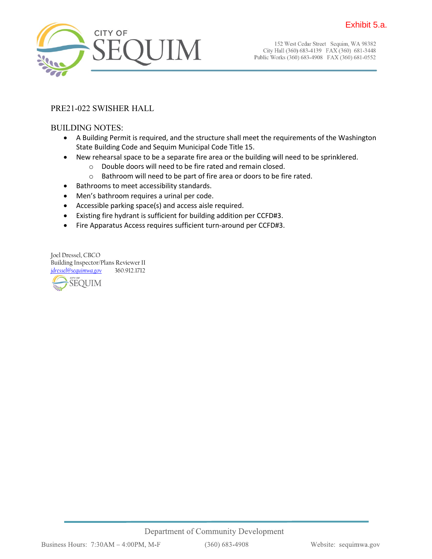

152 West Cedar Street Sequim, WA 98382 City Hall (360) 683-4139 FAX (360) 681-3448 Public Works (360) 683-4908 FAX (360) 681-0552

### PRE21-022 SWISHER HALL

#### BUILDING NOTES:

- A Building Permit is required, and the structure shall meet the requirements of the Washington State Building Code and Sequim Municipal Code Title 15.
- New rehearsal space to be a separate fire area or the building will need to be sprinklered.
	- o Double doors will need to be fire rated and remain closed.
	- o Bathroom will need to be part of fire area or doors to be fire rated.
- Bathrooms to meet accessibility standards.
- Men's bathroom requires a urinal per code.
- Accessible parking space(s) and access aisle required.
- Existing fire hydrant is sufficient for building addition per CCFD#3.
- Fire Apparatus Access requires sufficient turn-around per CCFD#3.

Joel Dressel, CBCO Building Inspector/Plans Reviewer II *[jdressel@sequimwa.gov](mailto:jdressel@sequimwa.gov)* 360.912.1712



 $(360) 683 - 4908$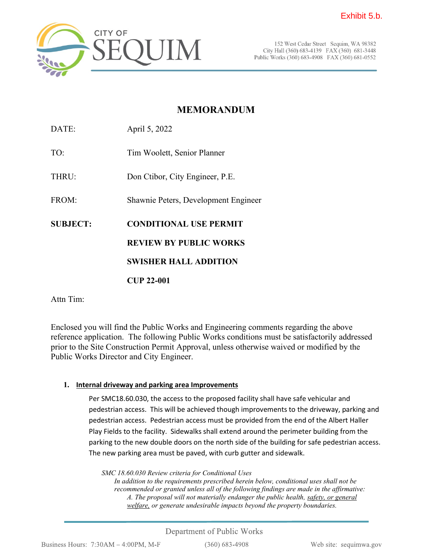

152 West Cedar Street Sequim, WA 98382 City Hall (360) 683-4139 FAX (360) 681-3448 Public Works (360) 683-4908 FAX (360) 681-0552

# **MEMORANDUM**

DATE: April 5, 2022 TO: Tim Woolett, Senior Planner THRU: Don Ctibor, City Engineer, P.E. FROM: Shawnie Peters, Development Engineer **SUBJECT: CONDITIONAL USE PERMIT REVIEW BY PUBLIC WORKS SWISHER HALL ADDITION CUP 22-001**

Attn Tim:

Enclosed you will find the Public Works and Engineering comments regarding the above reference application. The following Public Works conditions must be satisfactorily addressed prior to the Site Construction Permit Approval, unless otherwise waived or modified by the Public Works Director and City Engineer.

## **1. Internal driveway and parking area Improvements**

Per SMC18.60.030, the access to the proposed facility shall have safe vehicular and pedestrian access. This will be achieved though improvements to the driveway, parking and pedestrian access. Pedestrian access must be provided from the end of the Albert Haller Play Fields to the facility. Sidewalks shall extend around the perimeter building from the parking to the new double doors on the north side of the building for safe pedestrian access. The new parking area must be paved, with curb gutter and sidewalk.

*SMC 18.60.030 Review criteria for Conditional Uses In addition to the requirements prescribed herein below, conditional uses shall not be* 

*recommended or granted unless all of the following findings are made in the affirmative: A. The proposal will not materially endanger the public health, safety, or general welfare, or generate undesirable impacts beyond the property boundaries.*

# Department of Public Works

Business Hours:  $7:30AM - 4:00PM$ , M-F

 $(360)$  683-4908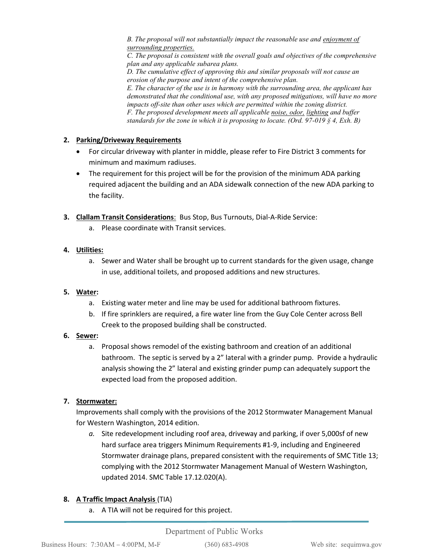*B. The proposal will not substantially impact the reasonable use and enjoyment of surrounding properties.* 

*C. The proposal is consistent with the overall goals and objectives of the comprehensive plan and any applicable subarea plans.*

*D. The cumulative effect of approving this and similar proposals will not cause an erosion of the purpose and intent of the comprehensive plan. E. The character of the use is in harmony with the surrounding area, the applicant has demonstrated that the conditional use, with any proposed mitigations, will have no more impacts off-site than other uses which are permitted within the zoning district. F. The proposed development meets all applicable noise, odor, lighting and buffer standards for the zone in which it is proposing to locate. (Ord. 97-019 § 4, Exh. B)* 

#### **2. Parking/Driveway Requirements**

- For circular driveway with planter in middle, please refer to Fire District 3 comments for minimum and maximum radiuses.
- The requirement for this project will be for the provision of the minimum ADA parking required adjacent the building and an ADA sidewalk connection of the new ADA parking to the facility.
- **3. Clallam Transit Considerations**: Bus Stop, Bus Turnouts, Dial-A-Ride Service:
	- a. Please coordinate with Transit services.

#### **4. Utilities:**

a. Sewer and Water shall be brought up to current standards for the given usage, change in use, additional toilets, and proposed additions and new structures.

#### **5. Water:**

- a. Existing water meter and line may be used for additional bathroom fixtures.
- b. If fire sprinklers are required, a fire water line from the Guy Cole Center across Bell Creek to the proposed building shall be constructed.

#### **6. Sewer:**

a. Proposal shows remodel of the existing bathroom and creation of an additional bathroom. The septic is served by a 2" lateral with a grinder pump. Provide a hydraulic analysis showing the 2" lateral and existing grinder pump can adequately support the expected load from the proposed addition.

#### **7. Stormwater:**

Improvements shall comply with the provisions of the 2012 Stormwater Management Manual for Western Washington, 2014 edition.

*a.* Site redevelopment including roof area, driveway and parking, if over 5,000sf of new hard surface area triggers Minimum Requirements #1-9, including and Engineered Stormwater drainage plans, prepared consistent with the requirements of SMC Title 13; complying with the 2012 Stormwater Management Manual of Western Washington, updated 2014. SMC Table 17.12.020(A).

#### **8. A Traffic Impact Analysis** (TIA)

a. A TIA will not be required for this project.

#### Department of Public Works

 $(360) 683 - 4908$